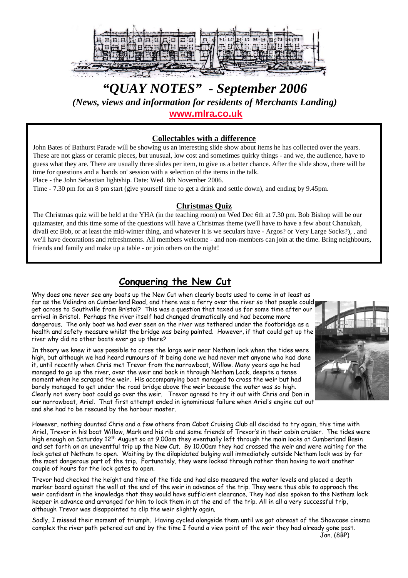

# *"QUAY NOTES" - September 2006 (News, views and information for residents of Merchants Landing)* **[www.mlra.co.uk](http://www.mlra.co.uk/)**

#### **Collectables with a difference**

John Bates of Bathurst Parade will be showing us an interesting slide show about items he has collected over the years. These are not glass or ceramic pieces, but unusual, low cost and sometimes quirky things - and we, the audience, have to guess what they are. There are usually three slides per item, to give us a better chance. After the slide show, there will be time for questions and a 'hands on' session with a selection of the items in the talk.

Place - the John Sebastian lightship. Date: Wed. 8th November 2006.

Time - 7.30 pm for an 8 pm start (give yourself time to get a drink and settle down), and ending by 9.45pm.

#### **Christmas Quiz**

The Christmas quiz will be held at the YHA (in the teaching room) on Wed Dec 6th at 7.30 pm. Bob Bishop will be our quizmaster, and this time some of the questions will have a Christmas theme (we'll have to have a few about Chanukah, divali etc Bob, or at least the mid-winter thing, and whatever it is we seculars have - Argos? or Very Large Socks?), , and we'll have decorations and refreshments. All members welcome - and non-members can join at the time. Bring neighbours, friends and family and make up a table - or join others on the night!

## **Conquering the New Cut**

Why does one never see any boats up the New Cut when clearly boats used to come in at least as far as the Velindra on Cumberland Road, and there was a ferry over the river so that people could get across to Southville from Bristol? This was a question that taxed us for some time after our arrival in Bristol. Perhaps the river itself had changed dramatically and had become more dangerous. The only boat we had ever seen on the river was tethered under the footbridge as a health and safety measure whilst the bridge was being painted. However, if that could get up the river why did no other boats ever go up there?

In theory we knew it was possible to cross the large weir near Netham lock when the tides were high, but although we had heard rumours of it being done we had never met anyone who had done it, until recently when Chris met Trevor from the narrowboat, Willow. Many years ago he had managed to go up the river, over the weir and back in through Netham Lock, despite a tense moment when he scraped the weir. His accompanying boat managed to cross the weir but had barely managed to get under the road bridge above the weir because the water was so high. Clearly not every boat could go over the weir. Trevor agreed to try it out with Chris and Don in our narrowboat, Ariel. That first attempt ended in ignominious failure when Ariel's engine cut out and she had to be rescued by the harbour master.

However, nothing daunted Chris and a few others from Cabot Cruising Club all decided to try again, this time with Ariel, Trevor in his boat Willow, Mark and his rib and some friends of Trevor's in their cabin cruiser. The tides were high enough on Saturday 12<sup>th</sup> August so at 9.00am they eventually left through the main locks at Cumberland Basin and set forth on an uneventful trip up the New Cut. By 10.00am they had crossed the weir and were waiting for the lock gates at Netham to open. Waiting by the dilapidated bulging wall immediately outside Netham lock was by far the most dangerous part of the trip. Fortunately, they were locked through rather than having to wait another couple of hours for the lock gates to open.

Trevor had checked the height and time of the tide and had also measured the water levels and placed a depth marker board against the wall at the end of the weir in advance of the trip. They were thus able to approach the weir confident in the knowledge that they would have sufficient clearance. They had also spoken to the Netham lock keeper in advance and arranged for him to lock them in at the end of the trip. All in all a very successful trip, although Trevor was disappointed to clip the weir slightly again.

Sadly, I missed their moment of triumph. Having cycled alongside them until we got abreast of the Showcase cinema complex the river path petered out and by the time I found a view point of the weir they had already gone past.



Jan. (8BP)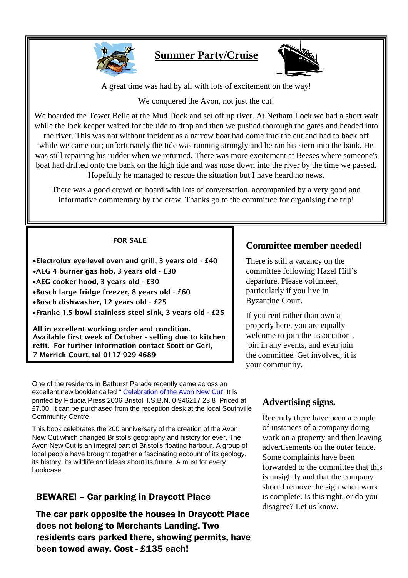

# **Summer Party/Cruise**



A great time was had by all with lots of excitement on the way!

We conquered the Avon, not just the cut!

We boarded the Tower Belle at the Mud Dock and set off up river. At Netham Lock we had a short wait while the lock keeper waited for the tide to drop and then we pushed thorough the gates and headed into the river. This was not without incident as a narrow boat had come into the cut and had to back off while we came out; unfortunately the tide was running strongly and he ran his stern into the bank. He was still repairing his rudder when we returned. There was more excitement at Beeses where someone's boat had drifted onto the bank on the high tide and was nose down into the river by the time we passed. Hopefully he managed to rescue the situation but I have heard no news.

There was a good crowd on board with lots of conversation, accompanied by a very good and informative commentary by the crew. Thanks go to the committee for organising the trip!

#### FOR SALE

•Electrolux eye-level oven and grill, 3 years old - £40 •AEG 4 burner gas hob, 3 years old - £30 •AEG cooker hood, 3 years old - £30 •Bosch large fridge freezer, 8 years old - £60 •Bosch dishwasher, 12 years old - £25 •Franke 1.5 bowl stainless steel sink, 3 years old - £25

All in excellent working order and condition. Available first week of October - selling due to kitchen refit. For further information contact Scott or Geri, 7 Merrick Court, tel 0117 929 4689

One of the residents in Bathurst Parade recently came across an excellent new booklet called " Celebration of the Avon New Cut" It is printed by Fiducia Press 2006 Bristol. I.S.B.N. 0 946217 23 8 Priced at £7.00. It can be purchased from the reception desk at the local Southville Community Centre.

This book celebrates the 200 anniversary of the creation of the Avon New Cut which changed Bristol's geography and history for ever. The Avon New Cut is an integral part of Bristol's floating harbour. A group of local people have brought together a fascinating account of its geology, its history, its wildlife and ideas about its future. A must for every bookcase.

## BEWARE! – Car parking in Draycott Place

The car park opposite the houses in Draycott Place does not belong to Merchants Landing. Two residents cars parked there, showing permits, have been towed away. Cost - £135 each!

## **Committee member needed!**

There is still a vacancy on the committee following Hazel Hill's departure. Please volunteer, particularly if you live in Byzantine Court.

If you rent rather than own a property here, you are equally welcome to join the association , join in any events, and even join the committee. Get involved, it is your community.

## **Advertising signs.**

Recently there have been a couple of instances of a company doing work on a property and then leaving advertisements on the outer fence. Some complaints have been forwarded to the committee that this is unsightly and that the company should remove the sign when work is complete. Is this right, or do you disagree? Let us know.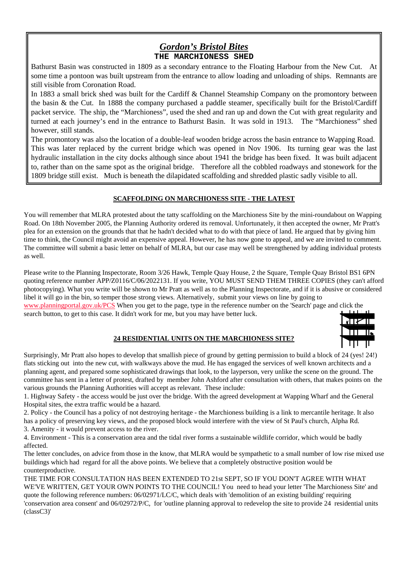### *Gordon's Bristol Bites* **THE MARCHIONESS SHED**

Bathurst Basin was constructed in 1809 as a secondary entrance to the Floating Harbour from the New Cut. At some time a pontoon was built upstream from the entrance to allow loading and unloading of ships. Remnants are still visible from Coronation Road.

In 1883 a small brick shed was built for the Cardiff & Channel Steamship Company on the promontory between the basin & the Cut. In 1888 the company purchased a paddle steamer, specifically built for the Bristol/Cardiff packet service. The ship, the "Marchioness", used the shed and ran up and down the Cut with great regularity and turned at each journey's end in the entrance to Bathurst Basin. It was sold in 1913. The "Marchioness" shed however, still stands.

The promontory was also the location of a double-leaf wooden bridge across the basin entrance to Wapping Road. This was later replaced by the current bridge which was opened in Nov 1906. Its turning gear was the last hydraulic installation in the city docks although since about 1941 the bridge has been fixed. It was built adjacent to, rather than on the same spot as the original bridge. Therefore all the cobbled roadways and stonework for the 1809 bridge still exist. Much is beneath the dilapidated scaffolding and shredded plastic sadly visible to all.

#### **SCAFFOLDING ON MARCHIONESS SITE - THE LATEST**

You will remember that MLRA protested about the tatty scaffolding on the Marchioness Site by the mini-roundabout on Wapping Road. On 18th November 2005, the Planning Authority ordered its removal. Unfortunately, it then accepted the owner, Mr Pratt's plea for an extension on the grounds that that he hadn't decided what to do with that piece of land. He argued that by giving him time to think, the Council might avoid an expensive appeal. However, he has now gone to appeal, and we are invited to comment. The committee will submit a basic letter on behalf of MLRA, but our case may well be strengthened by adding individual protests as well.

Please write to the Planning Inspectorate, Room 3/26 Hawk, Temple Quay House, 2 the Square, Temple Quay Bristol BS1 6PN quoting reference number APP/Z0116/C/06/2022131. If you write, YOU MUST SEND THEM THREE COPIES (they can't afford photocopying). What you write will be shown to Mr Pratt as well as to the Planning Inspectorate, and if it is abusive or considered libel it will go in the bin, so temper those strong views. Alternatively, submit your views on line by going to

[www.planningportal.gov.uk/PCS](http://www.planningportal.gov.uk/PCS) When you get to the page, type in the reference number on the 'Search' page and click the search button, to get to this case. It didn't work for me, but you may have better luck.



#### **24 RESIDENTIAL UNITS ON THE MARCHIONESS SITE?**

Surprisingly, Mr Pratt also hopes to develop that smallish piece of ground by getting permission to build a block of 24 (yes! 24!) flats sticking out into the new cut, with walkways above the mud. He has engaged the services of well known architects and a planning agent, and prepared some sophisticated drawings that look, to the layperson, very unlike the scene on the ground. The committee has sent in a letter of protest, drafted by member John Ashford after consultation with others, that makes points on the various grounds the Planning Authorities will accept as relevant. These include:

1. Highway Safety - the access would be just over the bridge. With the agreed development at Wapping Wharf and the General Hospital sites, the extra traffic would be a hazard.

2. Policy - the Council has a policy of not destroying heritage - the Marchioness building is a link to mercantile heritage. It also has a policy of preserving key views, and the proposed block would interfere with the view of St Paul's church, Alpha Rd. 3. Amenity - it would prevent access to the river.

4. Environment - This is a conservation area and the tidal river forms a sustainable wildlife corridor, which would be badly affected.

The letter concludes, on advice from those in the know, that MLRA would be sympathetic to a small number of low rise mixed use buildings which had regard for all the above points. We believe that a completely obstructive position would be counterproductive.

THE TIME FOR CONSULTATION HAS BEEN EXTENDED TO 21st SEPT, SO IF YOU DON'T AGREE WITH WHAT WE'VE WRITTEN, GET YOUR OWN POINTS TO THE COUNCIL! You need to head your letter 'The Marchioness Site' and quote the following reference numbers: 06/02971/LC/C, which deals with 'demolition of an existing building' requiring 'conservation area consent' and 06/02972/P/C, for 'outline planning approval to redevelop the site to provide 24 residential units (classC3)'